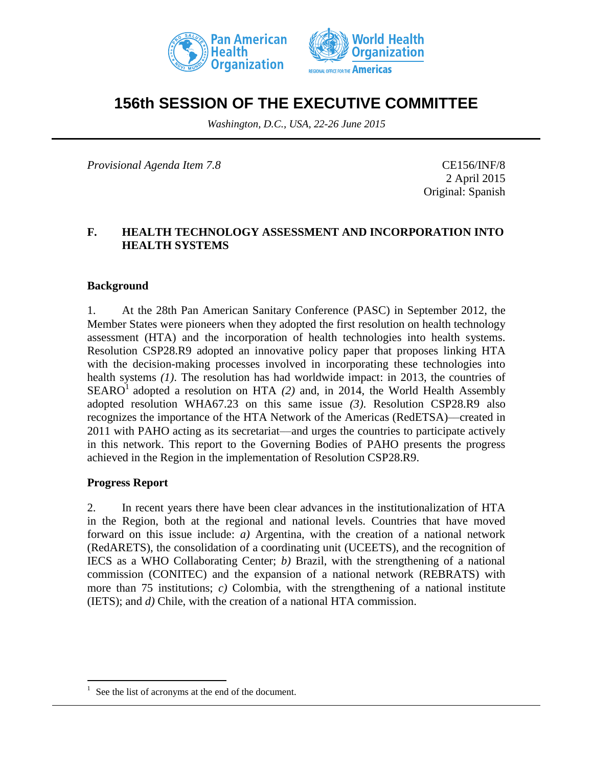



# **156th SESSION OF THE EXECUTIVE COMMITTEE**

*Washington, D.C., USA, 22-26 June 2015*

*Provisional Agenda Item 7.8* CE156/INF/8

2 April 2015 Original: Spanish

## **F. HEALTH TECHNOLOGY ASSESSMENT AND INCORPORATION INTO HEALTH SYSTEMS**

#### **Background**

1. At the 28th Pan American Sanitary Conference (PASC) in September 2012, the Member States were pioneers when they adopted the first resolution on health technology assessment (HTA) and the incorporation of health technologies into health systems. Resolution CSP28.R9 adopted an innovative policy paper that proposes linking HTA with the decision-making processes involved in incorporating these technologies into health systems *(1)*. The resolution has had worldwide impact: in 2013, the countries of  $SEARO<sup>1</sup>$  adopted a resolution on HTA (2) and, in 2014, the World Health Assembly adopted resolution WHA67.23 on this same issue *(3)*. Resolution CSP28.R9 also recognizes the importance of the HTA Network of the Americas (RedETSA)––created in 2011 with PAHO acting as its secretariat––and urges the countries to participate actively in this network. This report to the Governing Bodies of PAHO presents the progress achieved in the Region in the implementation of Resolution CSP28.R9.

#### **Progress Report**

 $\overline{a}$ 

2. In recent years there have been clear advances in the institutionalization of HTA in the Region, both at the regional and national levels. Countries that have moved forward on this issue include: *a)* Argentina, with the creation of a national network (RedARETS), the consolidation of a coordinating unit (UCEETS), and the recognition of IECS as a WHO Collaborating Center; *b)* Brazil, with the strengthening of a national commission (CONITEC) and the expansion of a national network (REBRATS) with more than 75 institutions; *c)* Colombia, with the strengthening of a national institute (IETS); and *d)* Chile, with the creation of a national HTA commission.

<sup>1</sup> See the list of acronyms at the end of the document.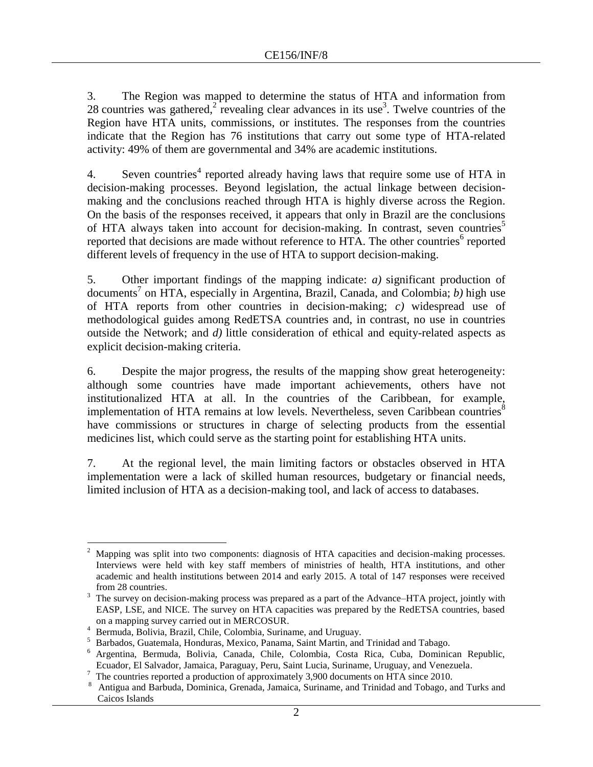3. The Region was mapped to determine the status of HTA and information from 28 countries was gathered,<sup>2</sup> revealing clear advances in its use<sup>3</sup>. Twelve countries of the Region have HTA units, commissions, or institutes. The responses from the countries indicate that the Region has 76 institutions that carry out some type of HTA-related activity: 49% of them are governmental and 34% are academic institutions.

4. Seven countries<sup>4</sup> reported already having laws that require some use of HTA in decision-making processes. Beyond legislation, the actual linkage between decisionmaking and the conclusions reached through HTA is highly diverse across the Region. On the basis of the responses received, it appears that only in Brazil are the conclusions of HTA always taken into account for decision-making. In contrast, seven countries<sup>5</sup> reported that decisions are made without reference to HTA. The other countries<sup>6</sup> reported different levels of frequency in the use of HTA to support decision-making.

5. Other important findings of the mapping indicate: *a)* significant production of documents<sup>7</sup> on HTA, especially in Argentina, Brazil, Canada, and Colombia; *b*) high use of HTA reports from other countries in decision-making; *c)* widespread use of methodological guides among RedETSA countries and, in contrast, no use in countries outside the Network; and *d)* little consideration of ethical and equity-related aspects as explicit decision-making criteria.

6. Despite the major progress, the results of the mapping show great heterogeneity: although some countries have made important achievements, others have not institutionalized HTA at all. In the countries of the Caribbean, for example, implementation of HTA remains at low levels. Nevertheless, seven Caribbean countries<sup>8</sup> have commissions or structures in charge of selecting products from the essential medicines list, which could serve as the starting point for establishing HTA units.

7. At the regional level, the main limiting factors or obstacles observed in HTA implementation were a lack of skilled human resources, budgetary or financial needs, limited inclusion of HTA as a decision-making tool, and lack of access to databases.

 $\overline{a}$ <sup>2</sup> Mapping was split into two components: diagnosis of HTA capacities and decision-making processes. Interviews were held with key staff members of ministries of health, HTA institutions, and other academic and health institutions between 2014 and early 2015. A total of 147 responses were received from 28 countries.

<sup>&</sup>lt;sup>3</sup> The survey on decision-making process was prepared as a part of the Advance–HTA project, jointly with EASP, LSE, and NICE. The survey on HTA capacities was prepared by the RedETSA countries, based on a mapping survey carried out in MERCOSUR.

<sup>4</sup> Bermuda, Bolivia, Brazil, Chile, Colombia, Suriname, and Uruguay.

<sup>5</sup> Barbados, Guatemala, Honduras, Mexico, Panama, Saint Martin, and Trinidad and Tabago.

<sup>6</sup> Argentina, Bermuda, Bolivia, Canada, Chile, Colombia, Costa Rica, Cuba, Dominican Republic, Ecuador, El Salvador, Jamaica, Paraguay, Peru, Saint Lucia, Suriname, Uruguay, and Venezuela.

The countries reported a production of approximately 3,900 documents on HTA since 2010.

<sup>8</sup> Antigua and Barbuda, Dominica, Grenada, Jamaica, Suriname, and Trinidad and Tobago, and Turks and Caicos Islands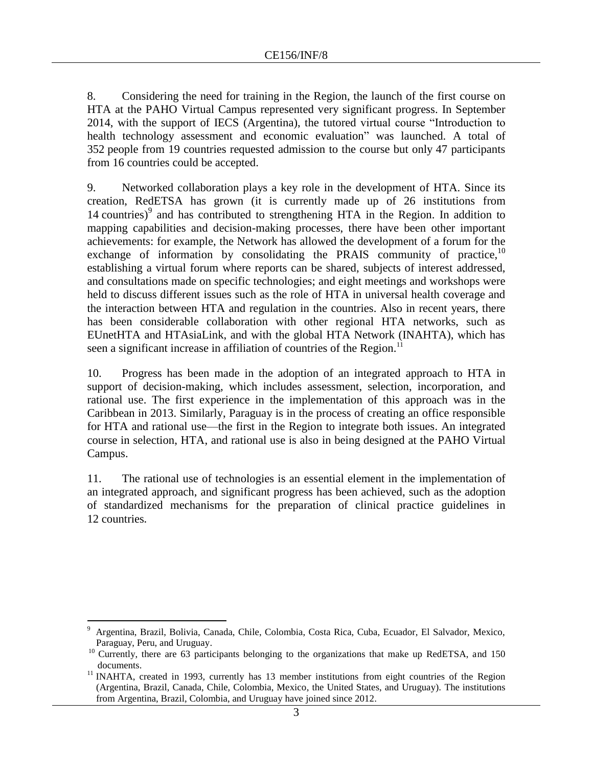8. Considering the need for training in the Region, the launch of the first course on HTA at the PAHO Virtual Campus represented very significant progress. In September 2014, with the support of IECS (Argentina), the tutored virtual course "Introduction to health technology assessment and economic evaluation" was launched. A total of 352 people from 19 countries requested admission to the course but only 47 participants from 16 countries could be accepted.

9. Networked collaboration plays a key role in the development of HTA. Since its creation, RedETSA has grown (it is currently made up of 26 institutions from 14 countries)<sup>9</sup> and has contributed to strengthening HTA in the Region. In addition to mapping capabilities and decision-making processes, there have been other important achievements: for example, the Network has allowed the development of a forum for the exchange of information by consolidating the PRAIS community of practice,<sup>10</sup> establishing a virtual forum where reports can be shared, subjects of interest addressed, and consultations made on specific technologies; and eight meetings and workshops were held to discuss different issues such as the role of HTA in universal health coverage and the interaction between HTA and regulation in the countries. Also in recent years, there has been considerable collaboration with other regional HTA networks, such as EUnetHTA and HTAsiaLink, and with the global HTA Network (INAHTA), which has seen a significant increase in affiliation of countries of the Region.<sup>11</sup>

10. Progress has been made in the adoption of an integrated approach to HTA in support of decision-making, which includes assessment, selection, incorporation, and rational use. The first experience in the implementation of this approach was in the Caribbean in 2013. Similarly, Paraguay is in the process of creating an office responsible for HTA and rational use––the first in the Region to integrate both issues. An integrated course in selection, HTA, and rational use is also in being designed at the PAHO Virtual Campus.

11. The rational use of technologies is an essential element in the implementation of an integrated approach, and significant progress has been achieved, such as the adoption of standardized mechanisms for the preparation of clinical practice guidelines in 12 countries.

 $\overline{a}$ <sup>9</sup> Argentina, Brazil, Bolivia, Canada, Chile, Colombia, Costa Rica, Cuba, Ecuador, El Salvador, Mexico, Paraguay, Peru, and Uruguay.

<sup>&</sup>lt;sup>10</sup> Currently, there are 63 participants belonging to the organizations that make up RedETSA, and 150 documents.

 $11$  INAHTA, created in 1993, currently has 13 member institutions from eight countries of the Region (Argentina, Brazil, Canada, Chile, Colombia, Mexico, the United States, and Uruguay). The institutions from Argentina, Brazil, Colombia, and Uruguay have joined since 2012.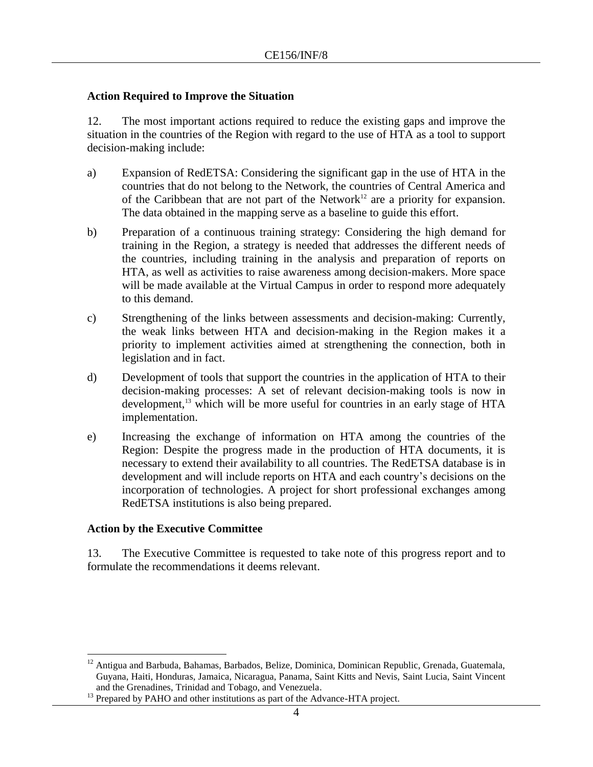### **Action Required to Improve the Situation**

12. The most important actions required to reduce the existing gaps and improve the situation in the countries of the Region with regard to the use of HTA as a tool to support decision-making include:

- a) Expansion of RedETSA: Considering the significant gap in the use of HTA in the countries that do not belong to the Network, the countries of Central America and of the Caribbean that are not part of the Network<sup>12</sup> are a priority for expansion. The data obtained in the mapping serve as a baseline to guide this effort.
- b) Preparation of a continuous training strategy: Considering the high demand for training in the Region, a strategy is needed that addresses the different needs of the countries, including training in the analysis and preparation of reports on HTA, as well as activities to raise awareness among decision-makers. More space will be made available at the Virtual Campus in order to respond more adequately to this demand.
- c) Strengthening of the links between assessments and decision-making: Currently, the weak links between HTA and decision-making in the Region makes it a priority to implement activities aimed at strengthening the connection, both in legislation and in fact.
- d) Development of tools that support the countries in the application of HTA to their decision-making processes: A set of relevant decision-making tools is now in development, <sup>13</sup> which will be more useful for countries in an early stage of HTA implementation.
- e) Increasing the exchange of information on HTA among the countries of the Region: Despite the progress made in the production of HTA documents, it is necessary to extend their availability to all countries. The RedETSA database is in development and will include reports on HTA and each country's decisions on the incorporation of technologies. A project for short professional exchanges among RedETSA institutions is also being prepared.

#### **Action by the Executive Committee**

13. The Executive Committee is requested to take note of this progress report and to formulate the recommendations it deems relevant.

 $\overline{a}$ <sup>12</sup> Antigua and Barbuda, Bahamas, Barbados, Belize, Dominica, Dominican Republic, Grenada, Guatemala, Guyana, Haiti, Honduras, Jamaica, Nicaragua, Panama, Saint Kitts and Nevis, Saint Lucia, Saint Vincent and the Grenadines, Trinidad and Tobago, and Venezuela.

<sup>&</sup>lt;sup>13</sup> Prepared by PAHO and other institutions as part of the Advance-HTA project.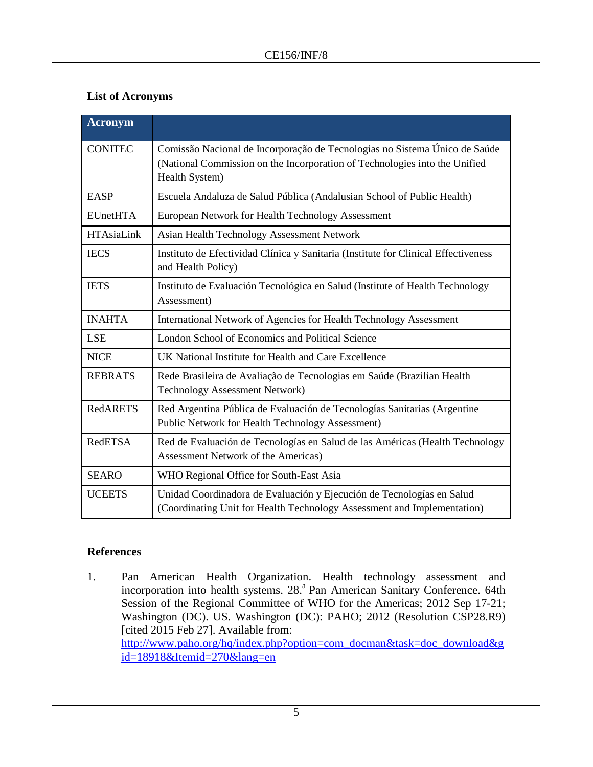# **List of Acronyms**

| <b>Acronym</b>    |                                                                                                                                                                            |
|-------------------|----------------------------------------------------------------------------------------------------------------------------------------------------------------------------|
| <b>CONITEC</b>    | Comissão Nacional de Incorporação de Tecnologias no Sistema Único de Saúde<br>(National Commission on the Incorporation of Technologies into the Unified<br>Health System) |
| <b>EASP</b>       | Escuela Andaluza de Salud Pública (Andalusian School of Public Health)                                                                                                     |
| <b>EUnetHTA</b>   | European Network for Health Technology Assessment                                                                                                                          |
| <b>HTAsiaLink</b> | Asian Health Technology Assessment Network                                                                                                                                 |
| <b>IECS</b>       | Instituto de Efectividad Clínica y Sanitaria (Institute for Clinical Effectiveness<br>and Health Policy)                                                                   |
| <b>IETS</b>       | Instituto de Evaluación Tecnológica en Salud (Institute of Health Technology<br>Assessment)                                                                                |
| <b>INAHTA</b>     | International Network of Agencies for Health Technology Assessment                                                                                                         |
| <b>LSE</b>        | London School of Economics and Political Science                                                                                                                           |
| <b>NICE</b>       | UK National Institute for Health and Care Excellence                                                                                                                       |
| <b>REBRATS</b>    | Rede Brasileira de Avaliação de Tecnologias em Saúde (Brazilian Health<br><b>Technology Assessment Network)</b>                                                            |
| <b>RedARETS</b>   | Red Argentina Pública de Evaluación de Tecnologías Sanitarias (Argentine<br>Public Network for Health Technology Assessment)                                               |
| RedETSA           | Red de Evaluación de Tecnologías en Salud de las Américas (Health Technology<br>Assessment Network of the Americas)                                                        |
| <b>SEARO</b>      | WHO Regional Office for South-East Asia                                                                                                                                    |
| <b>UCEETS</b>     | Unidad Coordinadora de Evaluación y Ejecución de Tecnologías en Salud<br>(Coordinating Unit for Health Technology Assessment and Implementation)                           |

## **References**

1. Pan American Health Organization. Health technology assessment and incorporation into health systems. 28.<sup>a</sup> Pan American Sanitary Conference. 64th Session of the Regional Committee of WHO for the Americas; 2012 Sep 17-21; Washington (DC). US. Washington (DC): PAHO; 2012 (Resolution CSP28.R9) [cited 2015 Feb 27]. Available from: [http://www.paho.org/hq/index.php?option=com\\_docman&task=doc\\_download&g](http://www.paho.org/hq/index.php?option=com_docman&task=doc_download&gid=18918&Itemid=270&lang=en) [id=18918&Itemid=270&lang=en](http://www.paho.org/hq/index.php?option=com_docman&task=doc_download&gid=18918&Itemid=270&lang=en)